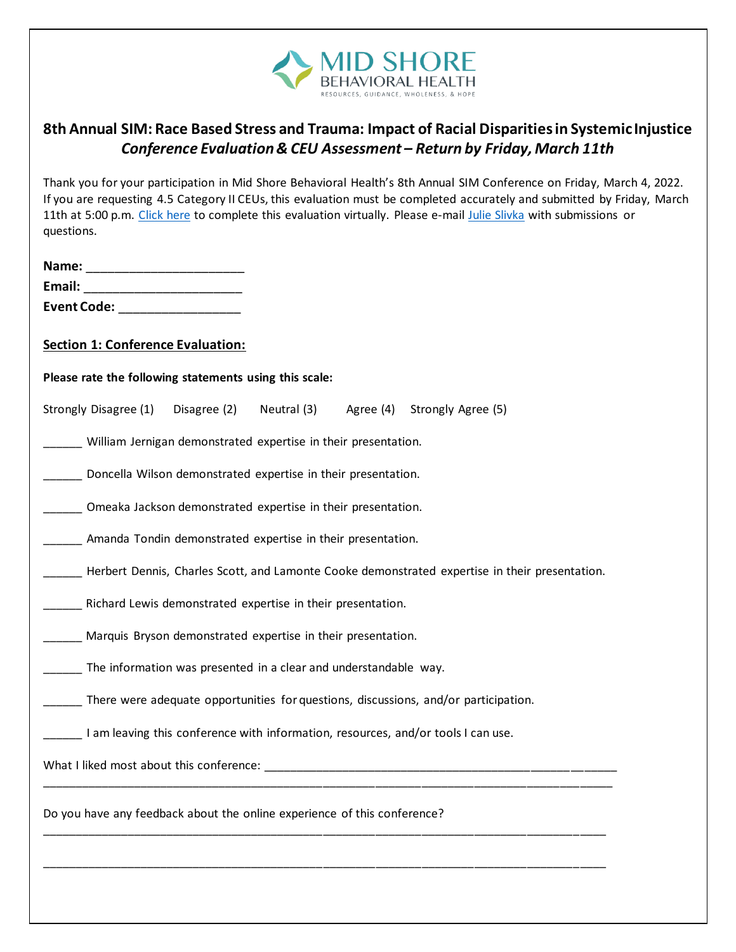

## **8th Annual SIM: Race Based Stress and Trauma: Impact of Racial Disparities in Systemic Injustice** *Conference Evaluation & CEU Assessment – Return by Friday, March 11th*

Thank you for your participation in Mid Shore Behavioral Health's 8th Annual SIM Conference on Friday, March 4, 2022.

| questions.                                                                                                      |                                                                  |             | If you are requesting 4.5 Category II CEUs, this evaluation must be completed accurately and submitted by Friday, March<br>11th at 5:00 p.m. Click here to complete this evaluation virtually. Please e-mail Julie Slivka with submissions or |
|-----------------------------------------------------------------------------------------------------------------|------------------------------------------------------------------|-------------|-----------------------------------------------------------------------------------------------------------------------------------------------------------------------------------------------------------------------------------------------|
|                                                                                                                 |                                                                  |             |                                                                                                                                                                                                                                               |
|                                                                                                                 |                                                                  |             |                                                                                                                                                                                                                                               |
| Event Code: The Code of the Code of the Code of the Code of the Code of the Code of the Code of the Code of the |                                                                  |             |                                                                                                                                                                                                                                               |
| <b>Section 1: Conference Evaluation:</b>                                                                        |                                                                  |             |                                                                                                                                                                                                                                               |
| Please rate the following statements using this scale:                                                          |                                                                  |             |                                                                                                                                                                                                                                               |
| Strongly Disagree (1)                                                                                           | Disagree (2)                                                     | Neutral (3) | Agree (4) Strongly Agree (5)                                                                                                                                                                                                                  |
|                                                                                                                 | William Jernigan demonstrated expertise in their presentation.   |             |                                                                                                                                                                                                                                               |
|                                                                                                                 | Doncella Wilson demonstrated expertise in their presentation.    |             |                                                                                                                                                                                                                                               |
|                                                                                                                 | Omeaka Jackson demonstrated expertise in their presentation.     |             |                                                                                                                                                                                                                                               |
|                                                                                                                 | Amanda Tondin demonstrated expertise in their presentation.      |             |                                                                                                                                                                                                                                               |
|                                                                                                                 |                                                                  |             | Herbert Dennis, Charles Scott, and Lamonte Cooke demonstrated expertise in their presentation.                                                                                                                                                |
|                                                                                                                 | Richard Lewis demonstrated expertise in their presentation.      |             |                                                                                                                                                                                                                                               |
|                                                                                                                 | Marquis Bryson demonstrated expertise in their presentation.     |             |                                                                                                                                                                                                                                               |
|                                                                                                                 | The information was presented in a clear and understandable way. |             |                                                                                                                                                                                                                                               |
|                                                                                                                 |                                                                  |             | There were adequate opportunities for questions, discussions, and/or participation.                                                                                                                                                           |
|                                                                                                                 |                                                                  |             | I am leaving this conference with information, resources, and/or tools I can use.                                                                                                                                                             |
|                                                                                                                 |                                                                  |             |                                                                                                                                                                                                                                               |
| Do you have any feedback about the online experience of this conference?                                        |                                                                  |             |                                                                                                                                                                                                                                               |
|                                                                                                                 |                                                                  |             |                                                                                                                                                                                                                                               |